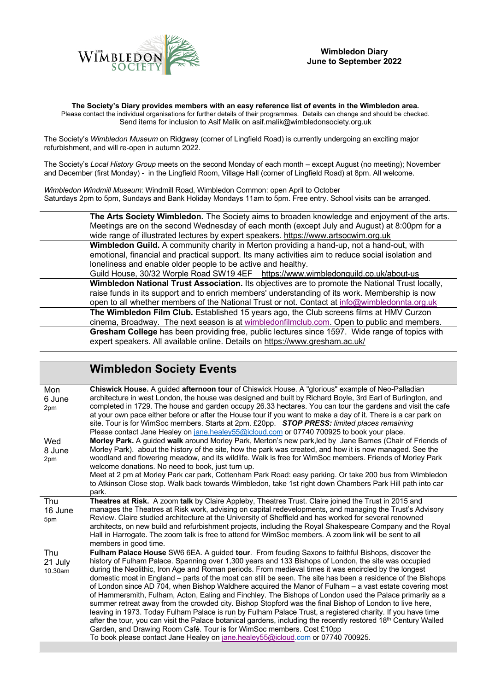

**The Society's Diary provides members with an easy reference list of events in the Wimbledon area.** Please contact the individual organisations for further details of their programmes. Details can change and should be checked. Send items for inclusion to Asif Malik on asif.malik@wimbledonsociety.org.uk

The Society's *Wimbledon Museum* on Ridgway (corner of Lingfield Road) is currently undergoing an exciting major refurbishment, and will re-open in autumn 2022.

The Society's *Local History Group* meets on the second Monday of each month – except August (no meeting); November and December (first Monday) - in the Lingfield Room, Village Hall (corner of Lingfield Road) at 8pm. All welcome.

*Wimbledon Windmill Museum*: Windmill Road, Wimbledon Common: open April to October Saturdays 2pm to 5pm, Sundays and Bank Holiday Mondays 11am to 5pm. Free entry. School visits can be arranged.



|                           | <b>Wimbledon Society Events</b>                                                                                                                                                                                                                                                                                                                                                                                                                                                                                                                                                                                                                                                                                                                                                                                                                                                                                                                                                                                                                                                                                                                                               |
|---------------------------|-------------------------------------------------------------------------------------------------------------------------------------------------------------------------------------------------------------------------------------------------------------------------------------------------------------------------------------------------------------------------------------------------------------------------------------------------------------------------------------------------------------------------------------------------------------------------------------------------------------------------------------------------------------------------------------------------------------------------------------------------------------------------------------------------------------------------------------------------------------------------------------------------------------------------------------------------------------------------------------------------------------------------------------------------------------------------------------------------------------------------------------------------------------------------------|
| Mon<br>6 June<br>2pm      | Chiswick House. A guided afternoon tour of Chiswick House. A "glorious" example of Neo-Palladian<br>architecture in west London, the house was designed and built by Richard Boyle, 3rd Earl of Burlington, and<br>completed in 1729. The house and garden occupy 26.33 hectares. You can tour the gardens and visit the cafe<br>at your own pace either before or after the House tour if you want to make a day of it. There is a car park on<br>site. Tour is for WimSoc members. Starts at 2pm. £20pp. STOP PRESS: limited places remaining<br>Please contact Jane Healey on jane.healey55@icloud.com or 07740 700925 to book your place.                                                                                                                                                                                                                                                                                                                                                                                                                                                                                                                                 |
| Wed<br>8 June<br>2pm      | Morley Park. A guided walk around Morley Park, Merton's new park, led by Jane Barnes (Chair of Friends of<br>Morley Park). about the history of the site, how the park was created, and how it is now managed. See the<br>woodland and flowering meadow, and its wildlife. Walk is free for WimSoc members. Friends of Morley Park<br>welcome donations. No need to book, just turn up.<br>Meet at 2 pm at Morley Park car park, Cottenham Park Road: easy parking. Or take 200 bus from Wimbledon<br>to Atkinson Close stop. Walk back towards Wimbledon, take 1st right down Chambers Park Hill path into car<br>park.                                                                                                                                                                                                                                                                                                                                                                                                                                                                                                                                                      |
| Thu<br>16 June<br>5pm     | Theatres at Risk. A zoom talk by Claire Appleby, Theatres Trust. Claire joined the Trust in 2015 and<br>manages the Theatres at Risk work, advising on capital redevelopments, and managing the Trust's Advisory<br>Review. Claire studied architecture at the University of Sheffield and has worked for several renowned<br>architects, on new build and refurbishment projects, including the Royal Shakespeare Company and the Royal<br>Hall in Harrogate. The zoom talk is free to attend for WimSoc members. A zoom link will be sent to all<br>members in good time.                                                                                                                                                                                                                                                                                                                                                                                                                                                                                                                                                                                                   |
| Thu<br>21 July<br>10.30am | Fulham Palace House SW6 6EA. A guided tour. From feuding Saxons to faithful Bishops, discover the<br>history of Fulham Palace. Spanning over 1,300 years and 133 Bishops of London, the site was occupied<br>during the Neolithic, Iron Age and Roman periods. From medieval times it was encircled by the longest<br>domestic moat in England – parts of the moat can still be seen. The site has been a residence of the Bishops<br>of London since AD 704, when Bishop Waldhere acquired the Manor of Fulham - a vast estate covering most<br>of Hammersmith, Fulham, Acton, Ealing and Finchley. The Bishops of London used the Palace primarily as a<br>summer retreat away from the crowded city. Bishop Stopford was the final Bishop of London to live here,<br>leaving in 1973. Today Fulham Palace is run by Fulham Palace Trust, a registered charity. If you have time<br>after the tour, you can visit the Palace botanical gardens, including the recently restored 18 <sup>th</sup> Century Walled<br>Garden, and Drawing Room Café. Tour is for WimSoc members. Cost £10pp<br>To book please contact Jane Healey on jane.healey55@icloud.com or 07740 700925. |